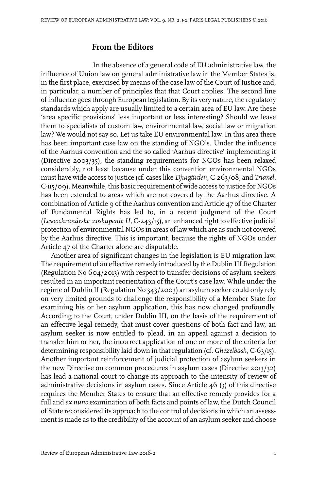## **From the Editors**

In the absence of a general code of EU administrative law, the influence of Union law on general administrative law in the Member States is, in the first place, exercised by means of the case law of the Court of Justice and, in particular, a number of principles that that Court applies. The second line of influence goes through European legislation. By its very nature, the regulatory standards which apply are usually limited to a certain area of EU law. Are these 'area specific provisions' less important or less interesting? Should we leave them to specialists of custom law, environmental law, social law or migration law? We would not say so. Let us take EU environmental law. In this area there has been important case law on the standing of NGO's. Under the influence of the Aarhus convention and the so called 'Aarhus directive' implementing it (Directive 2003/35), the standing requirements for NGOs has been relaxed considerably, not least because under this convention environmental NGOs must have wide access to justice (cf. cases like *Djurgärden*, C-263/08, and *Trianel*, C-115/09). Meanwhile, this basic requirement of wide access to justice for NGOs has been extended to areas which are not covered by the Aarhus directive. A combination of Article 9 of the Aarhus convention and Article 47 of the Charter of Fundamental Rights has led to, in a recent judgment of the Court (*Lesoochranárske zoskupenieII*, C-243/15), an enhanced right to effective judicial protection of environmental NGOs in areas of law which are as such not covered by the Aarhus directive. This is important, because the rights of NGOs under Article 47 of the Charter alone are disputable.

Another area of significant changes in the legislation is EU migration law. The requirement of an effective remedy introduced by the Dublin III Regulation (Regulation No 604/2013) with respect to transfer decisions of asylum seekers resulted in an important reorientation of the Court's case law. While under the regime of Dublin II (Regulation No 343/2003) an asylum seeker could only rely on very limited grounds to challenge the responsibility of a Member State for examining his or her asylum application, this has now changed profoundly. According to the Court, under Dublin III, on the basis of the requirement of an effective legal remedy, that must cover questions of both fact and law, an asylum seeker is now entitled to plead, in an appeal against a decision to transfer him or her, the incorrect application of one or more of the criteria for determining responsibility laid down in thatregulation (cf. *Ghezelbash*, C-63/15). Another important reinforcement of judicial protection of asylum seekers in the new Directive on common procedures in asylum cases (Directive 2013/32) has lead a national court to change its approach to the intensity of review of administrative decisions in asylum cases. Since Article 46 (3) of this directive requires the Member States to ensure that an effective remedy provides for a full and *ex nunc* examination of both facts and points of law, the Dutch Council of State reconsidered its approach to the control of decisions in which an assessment is made as to the credibility of the account of an asylum seeker and choose